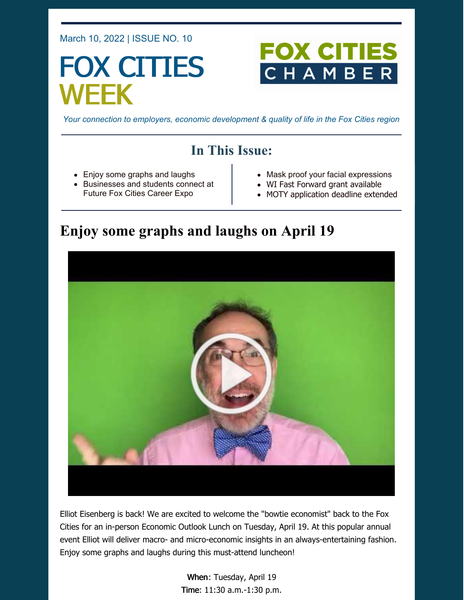March 10, 2022 | ISSUE NO. 10

# FOX CITIES WEEK

# **FOX CITI**  $\blacksquare$

*Your connection to employers, economic development & quality of life in the Fox Cities region*

## **In This Issue:**

- Enjoy some graphs and laughs
- Businesses and students connect at Future Fox Cities Career Expo
- Mask proof your facial expressions
- WI Fast Forward grant available
- MOTY application deadline extended

## **Enjoy some graphs and laughs on April 19**



Elliot Eisenberg is back! We are excited to welcome the "bowtie economist" back to the Fox Cities for an in-person Economic Outlook Lunch on Tuesday, April 19. At this popular annual event Elliot will deliver macro- and micro-economic insights in an always-entertaining fashion. Enjoy some graphs and laughs during this must-attend luncheon!

> When: Tuesday, April 19 Time: 11:30 a.m.-1:30 p.m.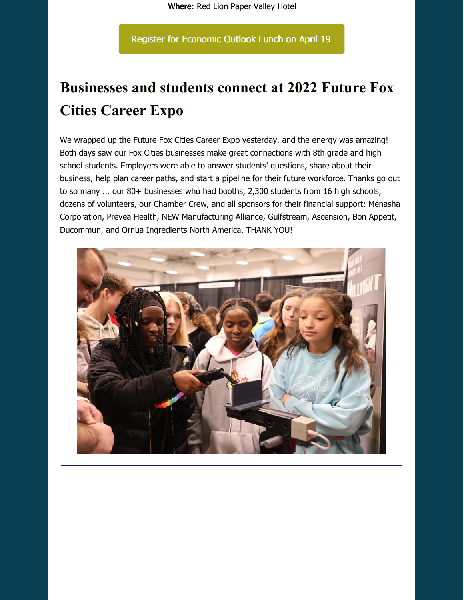Register for [Economic](https://business.foxcitieschamber.com/events/details/2022-economic-outlook-lunch-17239) Outlook Lunch on April 19

## **Businesses and students connect at 2022 Future Fox Cities Career Expo**

We wrapped up the Future Fox Cities Career Expo yesterday, and the energy was amazing! Both days saw our Fox Cities businesses make great connections with 8th grade and high school students. Employers were able to answer students' questions, share about their business, help plan career paths, and start a pipeline for their future workforce. Thanks go out to so many ... our 80+ businesses who had booths, 2,300 students from 16 high schools, dozens of volunteers, our Chamber Crew, and all sponsors for their financial support: Menasha Corporation, Prevea Health, NEW Manufacturing Alliance, Gulfstream, Ascension, Bon Appetit, Ducommun, and Ornua Ingredients North America. THANK YOU!

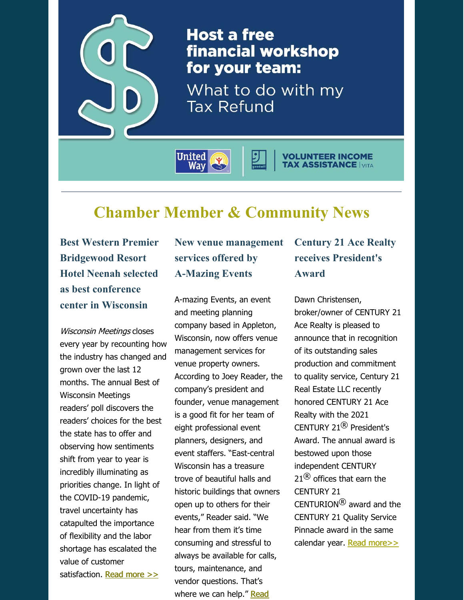

**Host a free** financial workshop for your team:

What to do with my **Tax Refund** 

**United** Way

# **Chamber Member & Community News**

**Best Western Premier Bridgewood Resort Hotel Neenah selected as best conference center in Wisconsin**

Wisconsin Meetings closes every year by recounting how the industry has changed and grown over the last 12 months. The annual Best of Wisconsin Meetings readers' poll discovers the readers' choices for the best the state has to offer and observing how sentiments shift from year to year is incredibly illuminating as priorities change. In light of the COVID-19 pandemic, travel uncertainty has catapulted the importance of flexibility and the labor shortage has escalated the value of customer satisfaction. Read [more](https://foxcitieschamber.com/news/2022/03/08/member-news/best-western-premier-bridgewood-resort-hotel-neenah-selected-as-best-conference-center-in-wisconsin/) >>

#### **New venue management services offered by A-Mazing Events**

A-mazing Events, an event and meeting planning company based in Appleton, Wisconsin, now offers venue management services for venue property owners. According to Joey Reader, the company's president and founder, venue management is a good fit for her team of eight professional event planners, designers, and event staffers. "East-central Wisconsin has a treasure trove of beautiful halls and historic buildings that owners open up to others for their events," Reader said. "We hear from them it's time consuming and stressful to always be available for calls, tours, maintenance, and vendor questions. That's where we can help." Read

## **Century 21 Ace Realty receives President's Award**

**VOLUNTEER INCOME<br>TAX ASSISTANCE IVITA** 

Dawn Christensen, broker/owner of CENTURY 21 Ace Realty is pleased to announce that in recognition of its outstanding sales production and commitment to quality service, Century 21 Real Estate LLC recently honored CENTURY 21 Ace Realty with the 2021 CENTURY 21® President's Award. The annual award is bestowed upon those independent CENTURY  $21^{\circledR}$  offices that earn the CENTURY 21  $CENTURION^<sup>(8)</sup>$  award and the CENTURY 21 Quality Service Pinnacle award in the same calendar year. Read [more>>](https://foxcitieschamber.com/news/2022/02/25/member-news/century-21-ace-realty-receives-2021-president-s-award-for-commitment-to-quality-service-and-productivity/)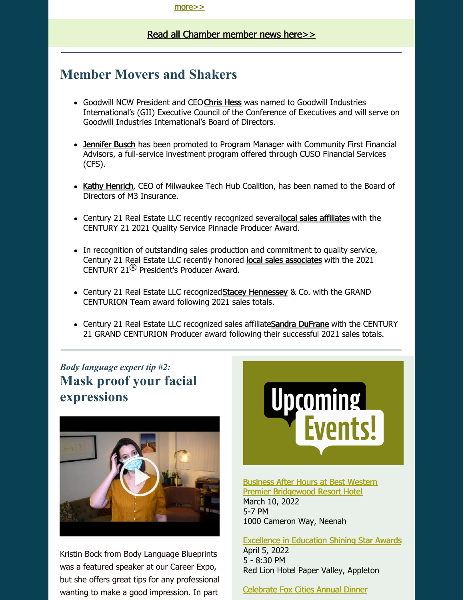#### Read all [Chamber](https://foxcitieschamber.com/news/1/) member news here>>

#### **Member Movers and Shakers**

- Goodwill NCW President and CEO[Chris](https://foxcitieschamber.com/news/2022/03/08/member-news/hess-elected-to-goodwill-industries-international-s-executive-council/) Hess was named to Goodwill Industries International's (GII) Executive Council of the Conference of Executives and will serve on Goodwill Industries International's Board of Directors.
- [Jennifer](https://foxcitieschamber.com/news/2022/03/08/member-news/busch-named-community-first-investment-team-program-manager/) Busch has been promoted to Program Manager with Community First Financial Advisors, a full-service investment program offered through CUSO Financial Services (CFS).
- Kathy [Henrich](https://foxcitieschamber.com/news/2022/03/08/member-news/henrich-named-to-m3-insurance-board-of-directors/), CEO of Milwaukee Tech Hub Coalition, has been named to the Board of Directors of M3 Insurance.
- Century 21 Real Estate LLC recently recognized severallocal sales [affiliates](https://foxcitieschamber.com/news/2022/02/25/member-news/ongoing-commitment-to-service-earns-local-agent-century-21-2021-quality-service-pinnacle-award/) with the CENTURY 21 2021 Quality Service Pinnacle Producer Award.
- In recognition of outstanding sales production and commitment to quality service, Century 21 Real Estate LLC recently honored local sales [associates](https://foxcitieschamber.com/news/2022/02/25/member-news/century-21-agents-receive-2021-president-s-producer-award-for-commitment-to-quality-service-and-productivity/) with the 2021 CENTURY 21 $<sup>®</sup>$  President's Producer Award.</sup>
- Century 21 Real Estate LLC recognized Stacey [Hennessey](https://foxcitieschamber.com/news/2022/02/25/member-news/century-21-affiliated-stacey-hennessey-co.-recognized-for-outstanding-production-with-2021-grand-centurion-team-award/) & Co. with the GRAND CENTURION Team award following 2021 sales totals.
- Century 21 Real Estate LLC recognized sales affiliateSandra [DuFrane](https://foxcitieschamber.com/news/2022/02/25/member-news/century-21-ace-realty-announces-sales-affiliate-as-recipient-of-2021-grand-centurion-producer-award/) with the CENTURY 21 GRAND CENTURION Producer award following their successful 2021 sales totals.

### *Body language expert tip #2:* **Mask proof your facial expressions**



Kristin Bock from Body Language Blueprints was a featured speaker at our Career Expo, but she offers great tips for any professional wanting to make a good impression. In part



Business After Hours at Best Western Premier [Bridgewood](https://business.foxcitieschamber.com/events/details/2022-business-after-hours-march-17448) Resort Hotel March 10, 2022 5-7 PM 1000 Cameron Way, Neenah

[Excellence](https://foxcitieschamber.com/talent/excellence-in-education-awards-fox-cities-chamber/) in Education Shining Star Awards April 5, 2022 5 - 8:30 PM Red Lion Hotel Paper Valley, Appleton

[Celebrate](https://business.foxcitieschamber.com/events/details/celebrate-fox-cities-annual-dinner-17275) Fox Cities Annual Dinner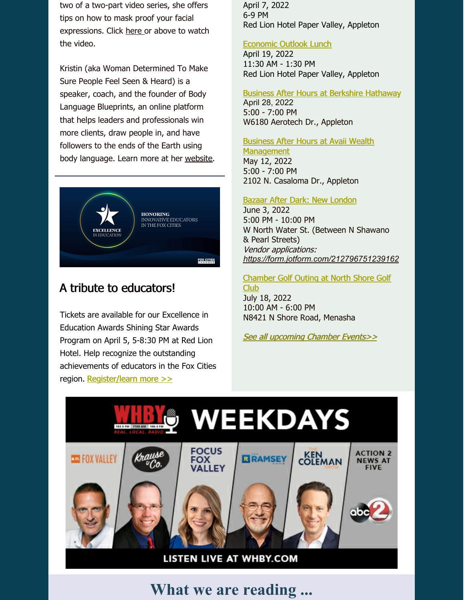two of a two-part video series, she offers tips on how to mask proof your facial expressions. Click [here](https://youtu.be/BCjvauR3MXA) or above to watch the video.

Kristin (aka Woman Determined To Make Sure People Feel Seen & Heard) is a speaker, coach, and the founder of Body Language Blueprints, an online platform that helps leaders and professionals win more clients, draw people in, and have followers to the ends of the Earth using body language. Learn more at her [website](https://bodylanguageblueprints.com/).



#### A tribute to educators!

Tickets are available for our Excellence in Education Awards Shining Star Awards Program on April 5, 5-8:30 PM at Red Lion Hotel. Help recognize the outstanding achievements of educators in the Fox Cities region. [Register/learn](https://business.foxcitieschamber.com/events/details/2022-excellence-in-education-shining-star-awards-program-17311) more >>

April 7, 2022 6-9 PM Red Lion Hotel Paper Valley, Appleton

#### [Economic](https://business.foxcitieschamber.com/events/details/2022-economic-outlook-lunch-17239) Outlook Lunch

April 19, 2022 11:30 AM - 1:30 PM Red Lion Hotel Paper Valley, Appleton

#### Business After Hours at Berkshire [Hathaway](https://business.foxcitieschamber.com/events/details/2022-business-after-hours-april-17449)

April 28, 2022 5:00 - 7:00 PM W6180 Aerotech Dr., Appleton

Business After Hours at Avaii Wealth **[Management](https://business.foxcitieschamber.com/events/details/2022-business-after-hours-may-17450)** 

May 12, 2022 5:00 - 7:00 PM 2102 N. Casaloma Dr., Appleton

#### Bazaar After Dark: New [London](https://business.foxcitieschamber.com/events/details/bazaar-after-dark-new-london-17395)

June 3, 2022 5:00 PM - 10:00 PM W North Water St. (Between N Shawano & Pearl Streets) Vendor applications: *<https://form.jotform.com/212796751239162>*

[Chamber](https://business.foxcitieschamber.com/events/details/2022-fox-cities-chamber-golf-outing-north-shore-golf-club-17346) Golf Outing at North Shore Golf Club July 18, 2022

10:00 AM - 6:00 PM N8421 N Shore Road, Menasha

See all [upcoming](https://business.foxcitieschamber.com/events/catgid/6) Chamber Events>>



**What we are reading ...**